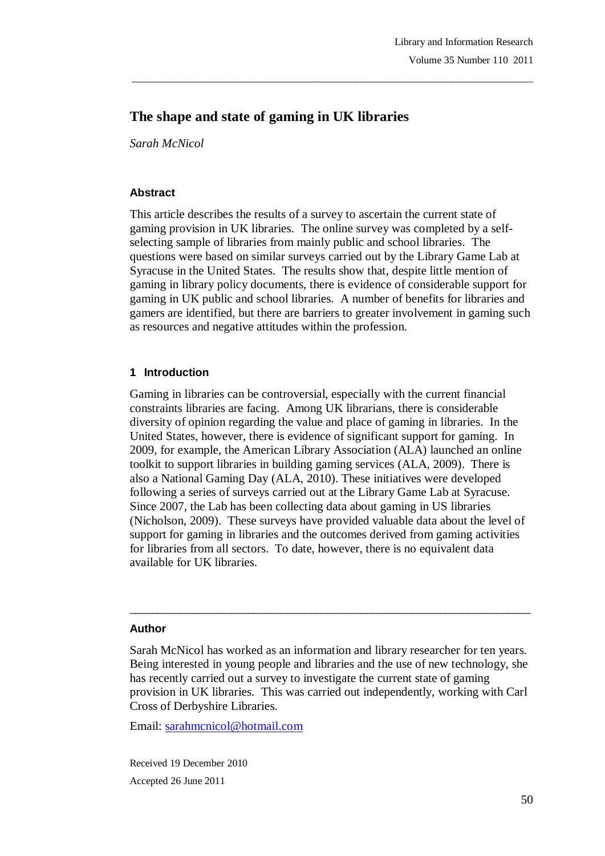# **The shape and state of gaming in UK libraries**

*Sarah McNicol*

#### **Abstract**

This article describes the results of a survey to ascertain the current state of gaming provision in UK libraries. The online survey was completed by a selfselecting sample of libraries from mainly public and school libraries. The questions were based on similar surveys carried out by the Library Game Lab at Syracuse in the United States. The results show that, despite little mention of gaming in library policy documents, there is evidence of considerable support for gaming in UK public and school libraries. A number of benefits for libraries and gamers are identified, but there are barriers to greater involvement in gaming such as resources and negative attitudes within the profession.

\_\_\_\_\_\_\_\_\_\_\_\_\_\_\_\_\_\_\_\_\_\_\_\_\_\_\_\_\_\_\_\_\_\_\_\_\_\_\_\_\_\_\_\_\_\_\_\_\_\_\_\_\_\_\_\_\_\_\_\_\_\_\_\_\_\_\_\_\_\_\_\_\_\_\_\_\_\_\_

## **1 Introduction**

Gaming in libraries can be controversial, especially with the current financial constraints libraries are facing. Among UK librarians, there is considerable diversity of opinion regarding the value and place of gaming in libraries. In the United States, however, there is evidence of significant support for gaming. In 2009, for example, the American Library Association (ALA) launched an online toolkit to support libraries in building gaming services (ALA, 2009). There is also a National Gaming Day (ALA, 2010). These initiatives were developed following a series of surveys carried out at the Library Game Lab at Syracuse. Since 2007, the Lab has been collecting data about gaming in US libraries (Nicholson, 2009). These surveys have provided valuable data about the level of support for gaming in libraries and the outcomes derived from gaming activities for libraries from all sectors. To date, however, there is no equivalent data available for UK libraries.

#### **Author**

Sarah McNicol has worked as an information and library researcher for ten years. Being interested in young people and libraries and the use of new technology, she has recently carried out a survey to investigate the current state of gaming provision in UK libraries. This was carried out independently, working with Carl Cross of Derbyshire Libraries.

\_\_\_\_\_\_\_\_\_\_\_\_\_\_\_\_\_\_\_\_\_\_\_\_\_\_\_\_\_\_\_\_\_\_\_\_\_\_\_\_\_\_\_\_\_\_\_\_\_\_\_\_\_\_\_\_\_\_\_\_\_\_\_\_\_\_\_\_\_\_\_

Email: sarahmcnicol@hotmail.com

Received 19 December 2010 Accepted 26 June 2011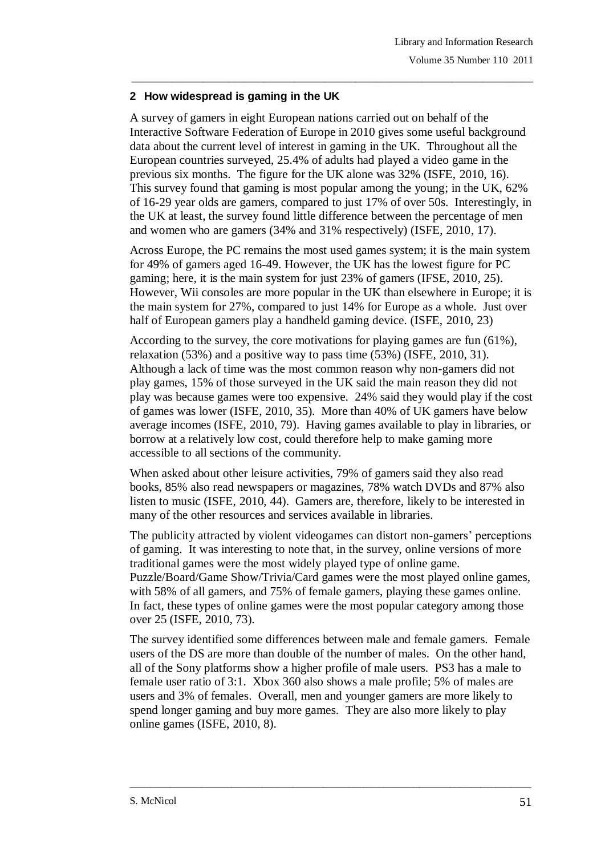## **2 How widespread is gaming in the UK**

A survey of gamers in eight European nations carried out on behalf of the Interactive Software Federation of Europe in 2010 gives some useful background data about the current level of interest in gaming in the UK. Throughout all the European countries surveyed, 25.4% of adults had played a video game in the previous six months. The figure for the UK alone was 32% (ISFE, 2010, 16). This survey found that gaming is most popular among the young; in the UK, 62% of 16-29 year olds are gamers, compared to just 17% of over 50s. Interestingly, in the UK at least, the survey found little difference between the percentage of men and women who are gamers (34% and 31% respectively) (ISFE, 2010, 17).

\_\_\_\_\_\_\_\_\_\_\_\_\_\_\_\_\_\_\_\_\_\_\_\_\_\_\_\_\_\_\_\_\_\_\_\_\_\_\_\_\_\_\_\_\_\_\_\_\_\_\_\_\_\_\_\_\_\_\_\_\_\_\_\_\_\_\_\_\_\_\_\_\_\_\_\_\_\_\_

Across Europe, the PC remains the most used games system; it is the main system for 49% of gamers aged 16-49. However, the UK has the lowest figure for PC gaming; here, it is the main system for just 23% of gamers (IFSE, 2010, 25). However, Wii consoles are more popular in the UK than elsewhere in Europe; it is the main system for 27%, compared to just 14% for Europe as a whole. Just over half of European gamers play a handheld gaming device. (ISFE, 2010, 23)

According to the survey, the core motivations for playing games are fun (61%), relaxation (53%) and a positive way to pass time (53%) (ISFE, 2010, 31). Although a lack of time was the most common reason why non-gamers did not play games, 15% of those surveyed in the UK said the main reason they did not play was because games were too expensive. 24% said they would play if the cost of games was lower (ISFE, 2010, 35). More than 40% of UK gamers have below average incomes (ISFE, 2010, 79). Having games available to play in libraries, or borrow at a relatively low cost, could therefore help to make gaming more accessible to all sections of the community.

When asked about other leisure activities, 79% of gamers said they also read books, 85% also read newspapers or magazines, 78% watch DVDs and 87% also listen to music (ISFE, 2010, 44). Gamers are, therefore, likely to be interested in many of the other resources and services available in libraries.

The publicity attracted by violent videogames can distort non-gamers' perceptions of gaming. It was interesting to note that, in the survey, online versions of more traditional games were the most widely played type of online game. Puzzle/Board/Game Show/Trivia/Card games were the most played online games, with 58% of all gamers, and 75% of female gamers, playing these games online. In fact, these types of online games were the most popular category among those over 25 (ISFE, 2010, 73).

The survey identified some differences between male and female gamers. Female users of the DS are more than double of the number of males. On the other hand, all of the Sony platforms show a higher profile of male users. PS3 has a male to female user ratio of 3:1. Xbox 360 also shows a male profile; 5% of males are users and 3% of females. Overall, men and younger gamers are more likely to spend longer gaming and buy more games. They are also more likely to play online games (ISFE, 2010, 8).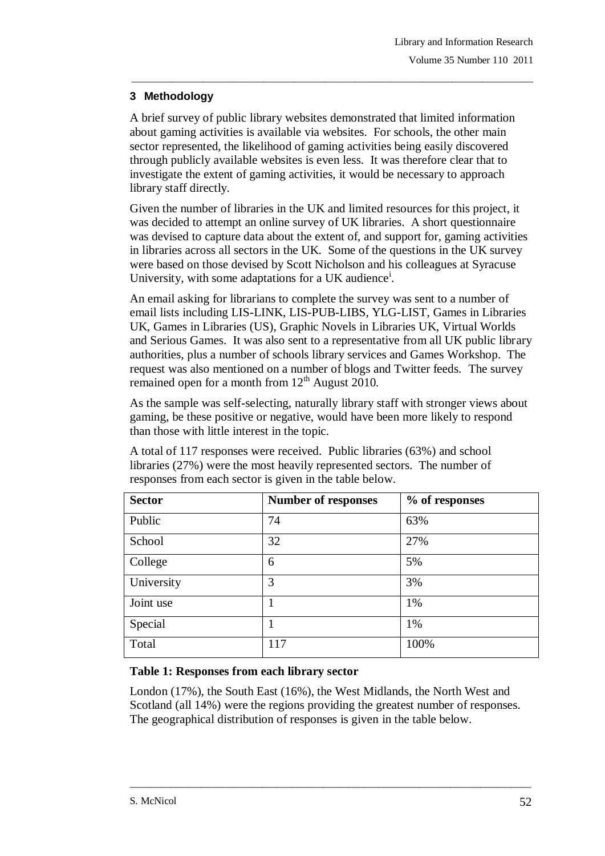## **3 Methodology**

A brief survey of public library websites demonstrated that limited information about gaming activities is available via websites. For schools, the other main sector represented, the likelihood of gaming activities being easily discovered through publicly available websites is even less. It was therefore clear that to investigate the extent of gaming activities, it would be necessary to approach library staff directly.

\_\_\_\_\_\_\_\_\_\_\_\_\_\_\_\_\_\_\_\_\_\_\_\_\_\_\_\_\_\_\_\_\_\_\_\_\_\_\_\_\_\_\_\_\_\_\_\_\_\_\_\_\_\_\_\_\_\_\_\_\_\_\_\_\_\_\_\_\_\_\_\_\_\_\_\_\_\_\_

Given the number of libraries in the UK and limited resources for this project, it was decided to attempt an online survey of UK libraries. A short questionnaire was devised to capture data about the extent of, and support for, gaming activities in libraries across all sectors in the UK. Some of the questions in the UK survey were based on those devised by Scott Nicholson and his colleagues at Syracuse University, with some adaptations for a UK audience<sup>i</sup>.

An email asking for librarians to complete the survey was sent to a number of email lists including LIS-LINK, LIS-PUB-LIBS, YLG-LIST, Games in Libraries UK, Games in Libraries (US), Graphic Novels in Libraries UK, Virtual Worlds and Serious Games. It was also sent to a representative from all UK public library authorities, plus a number of schools library services and Games Workshop. The request was also mentioned on a number of blogs and Twitter feeds. The survey remained open for a month from  $12<sup>th</sup>$  August 2010.

As the sample was self-selecting, naturally library staff with stronger views about gaming, be these positive or negative, would have been more likely to respond than those with little interest in the topic.

A total of 117 responses were received. Public libraries (63%) and school libraries (27%) were the most heavily represented sectors. The number of responses from each sector is given in the table below.

| <b>Sector</b> | <b>Number of responses</b> | % of responses |
|---------------|----------------------------|----------------|
| Public        | 74                         | 63%            |
| School        | 32                         | 27%            |
| College       | 6                          | 5%             |
| University    | 3                          | 3%             |
| Joint use     | 1                          | 1%             |
| Special       | 1                          | 1%             |
| Total         | 117                        | 100%           |

# **Table 1: Responses from each library sector**

London (17%), the South East (16%), the West Midlands, the North West and Scotland (all 14%) were the regions providing the greatest number of responses. The geographical distribution of responses is given in the table below.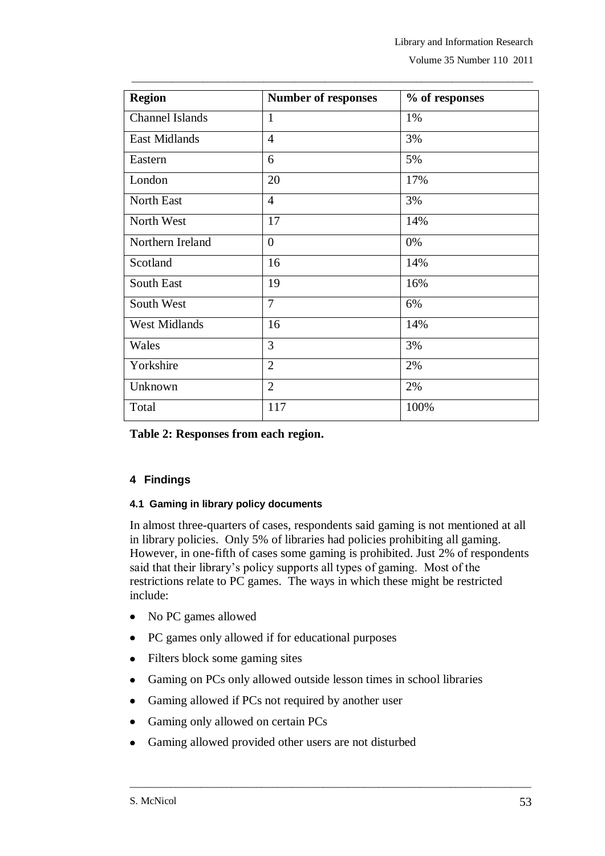| <b>Region</b>          | <b>Number of responses</b> | % of responses |  |
|------------------------|----------------------------|----------------|--|
| <b>Channel Islands</b> | $\mathbf{1}$               | 1%             |  |
| <b>East Midlands</b>   | $\overline{4}$             | 3%             |  |
| Eastern                | 6                          | 5%             |  |
| London                 | 20                         | 17%            |  |
| North East             | $\overline{4}$             | 3%             |  |
| North West             | 17                         | 14%            |  |
| Northern Ireland       | $\overline{0}$             | 0%             |  |
| Scotland               | 16                         | 14%            |  |
| South East             | 19                         | 16%            |  |
| South West             | $\overline{7}$             | 6%             |  |
| <b>West Midlands</b>   | 16                         | 14%            |  |
| Wales                  | 3                          | 3%             |  |
| Yorkshire              | $\overline{2}$             | 2%             |  |
| Unknown                | $\overline{2}$             | 2%             |  |
| Total                  | 117                        | 100%           |  |

\_\_\_\_\_\_\_\_\_\_\_\_\_\_\_\_\_\_\_\_\_\_\_\_\_\_\_\_\_\_\_\_\_\_\_\_\_\_\_\_\_\_\_\_\_\_\_\_\_\_\_\_\_\_\_\_\_\_\_\_\_\_\_\_\_\_\_\_\_\_\_\_\_\_\_\_\_\_\_

**Table 2: Responses from each region.**

## **4 Findings**

#### **4.1 Gaming in library policy documents**

In almost three-quarters of cases, respondents said gaming is not mentioned at all in library policies. Only 5% of libraries had policies prohibiting all gaming. However, in one-fifth of cases some gaming is prohibited. Just 2% of respondents said that their library's policy supports all types of gaming. Most of the restrictions relate to PC games. The ways in which these might be restricted include:

- No PC games allowed
- PC games only allowed if for educational purposes
- Filters block some gaming sites
- Gaming on PCs only allowed outside lesson times in school libraries

- Gaming allowed if PCs not required by another user
- Gaming only allowed on certain PCs
- Gaming allowed provided other users are not disturbed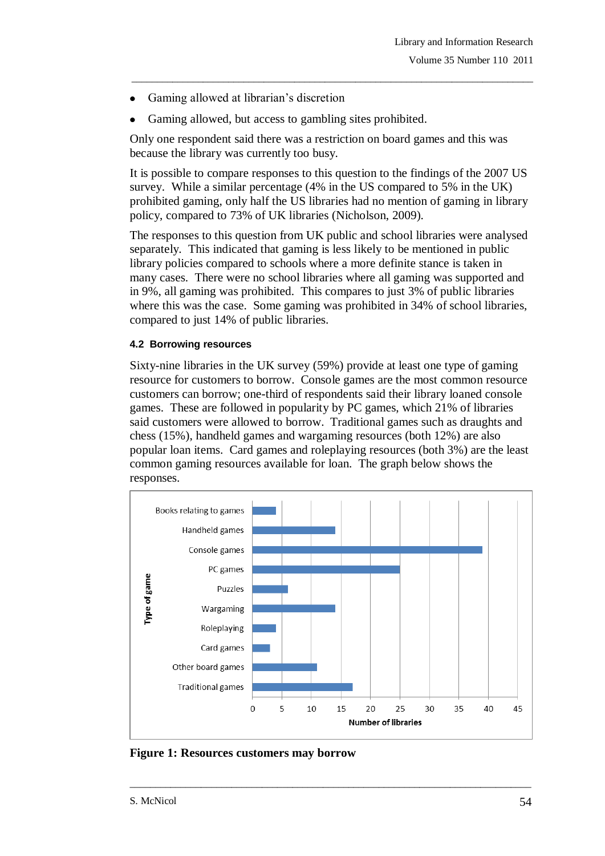- Gaming allowed at librarian's discretion
- Gaming allowed, but access to gambling sites prohibited.

Only one respondent said there was a restriction on board games and this was because the library was currently too busy.

It is possible to compare responses to this question to the findings of the 2007 US survey. While a similar percentage (4% in the US compared to 5% in the UK) prohibited gaming, only half the US libraries had no mention of gaming in library policy, compared to 73% of UK libraries (Nicholson, 2009).

\_\_\_\_\_\_\_\_\_\_\_\_\_\_\_\_\_\_\_\_\_\_\_\_\_\_\_\_\_\_\_\_\_\_\_\_\_\_\_\_\_\_\_\_\_\_\_\_\_\_\_\_\_\_\_\_\_\_\_\_\_\_\_\_\_\_\_\_\_\_\_\_\_\_\_\_\_\_\_

The responses to this question from UK public and school libraries were analysed separately. This indicated that gaming is less likely to be mentioned in public library policies compared to schools where a more definite stance is taken in many cases. There were no school libraries where all gaming was supported and in 9%, all gaming was prohibited. This compares to just 3% of public libraries where this was the case. Some gaming was prohibited in 34% of school libraries, compared to just 14% of public libraries.

## **4.2 Borrowing resources**

Sixty-nine libraries in the UK survey (59%) provide at least one type of gaming resource for customers to borrow. Console games are the most common resource customers can borrow; one-third of respondents said their library loaned console games. These are followed in popularity by PC games, which 21% of libraries said customers were allowed to borrow. Traditional games such as draughts and chess (15%), handheld games and wargaming resources (both 12%) are also popular loan items. Card games and roleplaying resources (both 3%) are the least common gaming resources available for loan. The graph below shows the responses.



**Figure 1: Resources customers may borrow**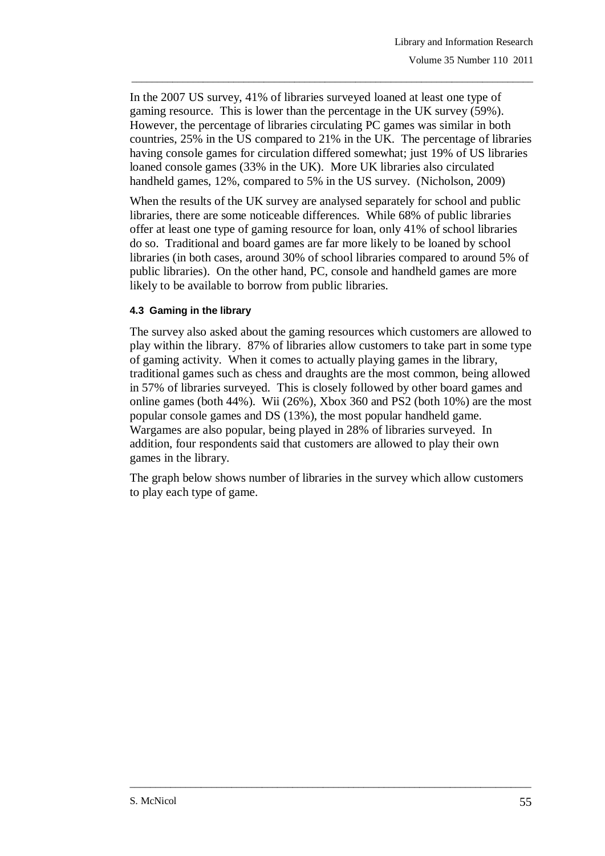In the 2007 US survey, 41% of libraries surveyed loaned at least one type of gaming resource. This is lower than the percentage in the UK survey (59%). However, the percentage of libraries circulating PC games was similar in both countries, 25% in the US compared to 21% in the UK. The percentage of libraries having console games for circulation differed somewhat; just 19% of US libraries loaned console games (33% in the UK). More UK libraries also circulated handheld games, 12%, compared to 5% in the US survey. (Nicholson, 2009)

\_\_\_\_\_\_\_\_\_\_\_\_\_\_\_\_\_\_\_\_\_\_\_\_\_\_\_\_\_\_\_\_\_\_\_\_\_\_\_\_\_\_\_\_\_\_\_\_\_\_\_\_\_\_\_\_\_\_\_\_\_\_\_\_\_\_\_\_\_\_\_\_\_\_\_\_\_\_\_

When the results of the UK survey are analysed separately for school and public libraries, there are some noticeable differences. While 68% of public libraries offer at least one type of gaming resource for loan, only 41% of school libraries do so. Traditional and board games are far more likely to be loaned by school libraries (in both cases, around 30% of school libraries compared to around 5% of public libraries). On the other hand, PC, console and handheld games are more likely to be available to borrow from public libraries.

## **4.3 Gaming in the library**

The survey also asked about the gaming resources which customers are allowed to play within the library. 87% of libraries allow customers to take part in some type of gaming activity. When it comes to actually playing games in the library, traditional games such as chess and draughts are the most common, being allowed in 57% of libraries surveyed. This is closely followed by other board games and online games (both 44%). Wii (26%), Xbox 360 and PS2 (both 10%) are the most popular console games and DS (13%), the most popular handheld game. Wargames are also popular, being played in 28% of libraries surveyed. In addition, four respondents said that customers are allowed to play their own games in the library.

The graph below shows number of libraries in the survey which allow customers to play each type of game.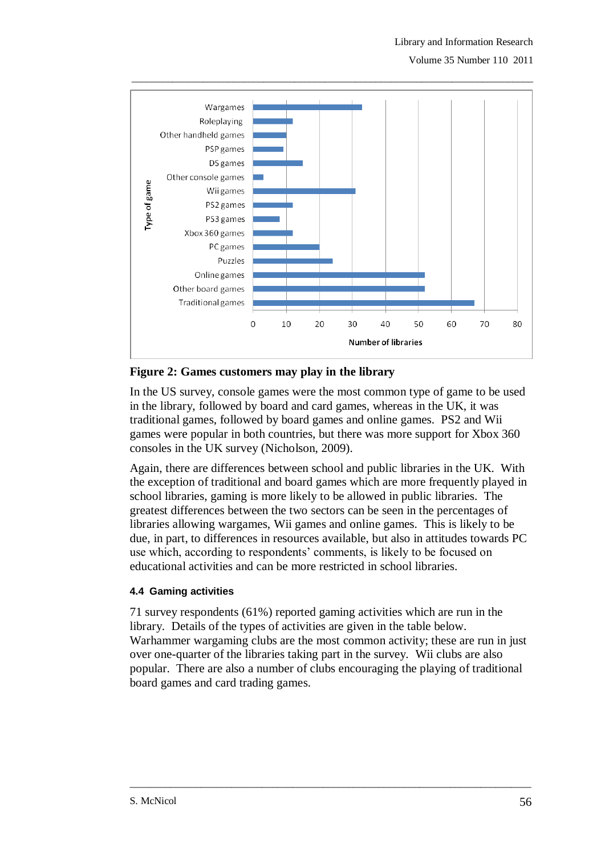

**Figure 2: Games customers may play in the library**

In the US survey, console games were the most common type of game to be used in the library, followed by board and card games, whereas in the UK, it was traditional games, followed by board games and online games. PS2 and Wii games were popular in both countries, but there was more support for Xbox 360 consoles in the UK survey (Nicholson, 2009).

Again, there are differences between school and public libraries in the UK. With the exception of traditional and board games which are more frequently played in school libraries, gaming is more likely to be allowed in public libraries. The greatest differences between the two sectors can be seen in the percentages of libraries allowing wargames, Wii games and online games. This is likely to be due, in part, to differences in resources available, but also in attitudes towards PC use which, according to respondents' comments, is likely to be focused on educational activities and can be more restricted in school libraries.

## **4.4 Gaming activities**

71 survey respondents (61%) reported gaming activities which are run in the library. Details of the types of activities are given in the table below. Warhammer wargaming clubs are the most common activity; these are run in just over one-quarter of the libraries taking part in the survey. Wii clubs are also popular. There are also a number of clubs encouraging the playing of traditional board games and card trading games.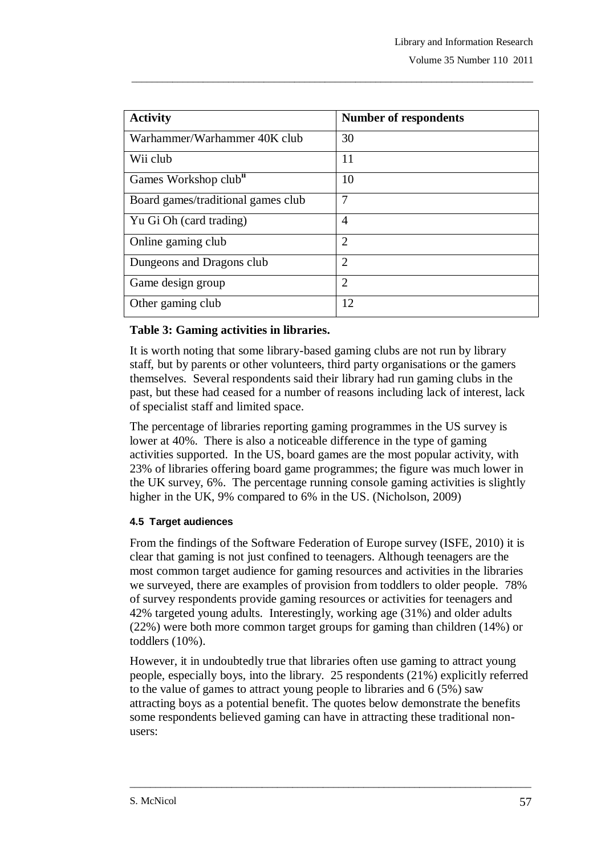| <b>Activity</b>                    | <b>Number of respondents</b> |
|------------------------------------|------------------------------|
| Warhammer/Warhammer 40K club       | 30                           |
| Wii club                           | 11                           |
| Games Workshop club <sup>ii</sup>  | 10                           |
| Board games/traditional games club | 7                            |
| Yu Gi Oh (card trading)            | $\overline{4}$               |
| Online gaming club                 | $\mathcal{D}_{\cdot}$        |
| Dungeons and Dragons club          | $\overline{2}$               |
| Game design group                  | $\overline{2}$               |
| Other gaming club                  | 12                           |

\_\_\_\_\_\_\_\_\_\_\_\_\_\_\_\_\_\_\_\_\_\_\_\_\_\_\_\_\_\_\_\_\_\_\_\_\_\_\_\_\_\_\_\_\_\_\_\_\_\_\_\_\_\_\_\_\_\_\_\_\_\_\_\_\_\_\_\_\_\_\_\_\_\_\_\_\_\_\_

## **Table 3: Gaming activities in libraries.**

It is worth noting that some library-based gaming clubs are not run by library staff, but by parents or other volunteers, third party organisations or the gamers themselves. Several respondents said their library had run gaming clubs in the past, but these had ceased for a number of reasons including lack of interest, lack of specialist staff and limited space.

The percentage of libraries reporting gaming programmes in the US survey is lower at 40%. There is also a noticeable difference in the type of gaming activities supported. In the US, board games are the most popular activity, with 23% of libraries offering board game programmes; the figure was much lower in the UK survey, 6%. The percentage running console gaming activities is slightly higher in the UK, 9% compared to 6% in the US. (Nicholson, 2009)

## **4.5 Target audiences**

From the findings of the Software Federation of Europe survey (ISFE, 2010) it is clear that gaming is not just confined to teenagers. Although teenagers are the most common target audience for gaming resources and activities in the libraries we surveyed, there are examples of provision from toddlers to older people. 78% of survey respondents provide gaming resources or activities for teenagers and 42% targeted young adults. Interestingly, working age (31%) and older adults (22%) were both more common target groups for gaming than children (14%) or toddlers (10%).

However, it in undoubtedly true that libraries often use gaming to attract young people, especially boys, into the library. 25 respondents (21%) explicitly referred to the value of games to attract young people to libraries and 6 (5%) saw attracting boys as a potential benefit. The quotes below demonstrate the benefits some respondents believed gaming can have in attracting these traditional nonusers: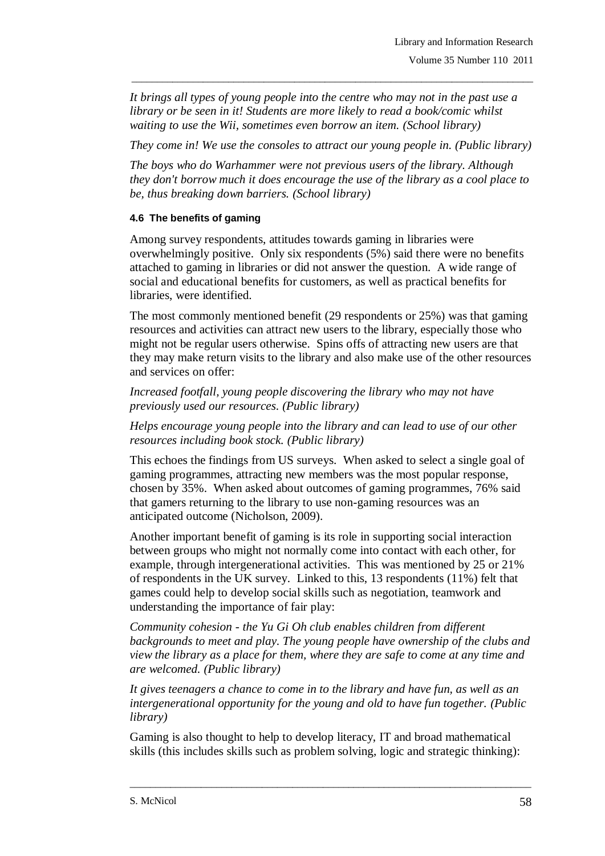*It brings all types of young people into the centre who may not in the past use a library or be seen in it! Students are more likely to read a book/comic whilst waiting to use the Wii, sometimes even borrow an item. (School library)*

*They come in! We use the consoles to attract our young people in. (Public library)*

\_\_\_\_\_\_\_\_\_\_\_\_\_\_\_\_\_\_\_\_\_\_\_\_\_\_\_\_\_\_\_\_\_\_\_\_\_\_\_\_\_\_\_\_\_\_\_\_\_\_\_\_\_\_\_\_\_\_\_\_\_\_\_\_\_\_\_\_\_\_\_\_\_\_\_\_\_\_\_

*The boys who do Warhammer were not previous users of the library. Although they don't borrow much it does encourage the use of the library as a cool place to be, thus breaking down barriers. (School library)*

## **4.6 The benefits of gaming**

Among survey respondents, attitudes towards gaming in libraries were overwhelmingly positive. Only six respondents (5%) said there were no benefits attached to gaming in libraries or did not answer the question. A wide range of social and educational benefits for customers, as well as practical benefits for libraries, were identified.

The most commonly mentioned benefit (29 respondents or 25%) was that gaming resources and activities can attract new users to the library, especially those who might not be regular users otherwise. Spins offs of attracting new users are that they may make return visits to the library and also make use of the other resources and services on offer:

*Increased footfall, young people discovering the library who may not have previously used our resources. (Public library)*

*Helps encourage young people into the library and can lead to use of our other resources including book stock. (Public library)*

This echoes the findings from US surveys. When asked to select a single goal of gaming programmes, attracting new members was the most popular response, chosen by 35%. When asked about outcomes of gaming programmes, 76% said that gamers returning to the library to use non-gaming resources was an anticipated outcome (Nicholson, 2009).

Another important benefit of gaming is its role in supporting social interaction between groups who might not normally come into contact with each other, for example, through intergenerational activities. This was mentioned by 25 or 21% of respondents in the UK survey. Linked to this, 13 respondents (11%) felt that games could help to develop social skills such as negotiation, teamwork and understanding the importance of fair play:

*Community cohesion - the Yu Gi Oh club enables children from different backgrounds to meet and play. The young people have ownership of the clubs and view the library as a place for them, where they are safe to come at any time and are welcomed. (Public library)*

*It gives teenagers a chance to come in to the library and have fun, as well as an intergenerational opportunity for the young and old to have fun together. (Public library)*

Gaming is also thought to help to develop literacy, IT and broad mathematical skills (this includes skills such as problem solving, logic and strategic thinking):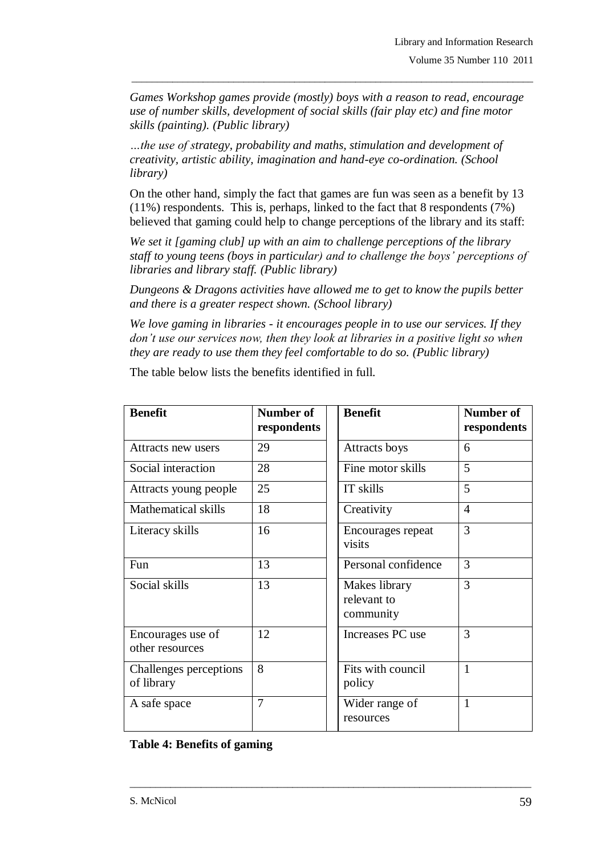*Games Workshop games provide (mostly) boys with a reason to read, encourage use of number skills, development of social skills (fair play etc) and fine motor skills (painting). (Public library)*

\_\_\_\_\_\_\_\_\_\_\_\_\_\_\_\_\_\_\_\_\_\_\_\_\_\_\_\_\_\_\_\_\_\_\_\_\_\_\_\_\_\_\_\_\_\_\_\_\_\_\_\_\_\_\_\_\_\_\_\_\_\_\_\_\_\_\_\_\_\_\_\_\_\_\_\_\_\_\_

*…the use of strategy, probability and maths, stimulation and development of creativity, artistic ability, imagination and hand-eye co-ordination. (School library)*

On the other hand, simply the fact that games are fun was seen as a benefit by 13 (11%) respondents. This is, perhaps, linked to the fact that 8 respondents (7%) believed that gaming could help to change perceptions of the library and its staff:

*We set it [gaming club] up with an aim to challenge perceptions of the library staff to young teens (boys in particular) and to challenge the boys' perceptions of libraries and library staff. (Public library)*

*Dungeons & Dragons activities have allowed me to get to know the pupils better and there is a greater respect shown. (School library)*

*We love gaming in libraries - it encourages people in to use our services. If they don't use our services now, then they look at libraries in a positive light so when they are ready to use them they feel comfortable to do so. (Public library)*

| <b>Benefit</b>                       | Number of<br>respondents | <b>Benefit</b>                            | Number of<br>respondents |
|--------------------------------------|--------------------------|-------------------------------------------|--------------------------|
| Attracts new users                   | 29                       | Attracts boys                             | 6                        |
| Social interaction                   | 28                       | Fine motor skills                         | 5                        |
| Attracts young people                | 25                       | IT skills                                 | 5                        |
| Mathematical skills                  | 18                       | Creativity                                | $\overline{4}$           |
| Literacy skills                      | 16                       | Encourages repeat<br>visits               | 3                        |
| Fun                                  | 13                       | Personal confidence                       | 3                        |
| Social skills                        | 13                       | Makes library<br>relevant to<br>community | 3                        |
| Encourages use of<br>other resources | 12                       | Increases PC use                          | 3                        |
| Challenges perceptions<br>of library | 8                        | Fits with council<br>policy               | 1                        |
| A safe space                         | 7                        | Wider range of<br>resources               | 1                        |

\_\_\_\_\_\_\_\_\_\_\_\_\_\_\_\_\_\_\_\_\_\_\_\_\_\_\_\_\_\_\_\_\_\_\_\_\_\_\_\_\_\_\_\_\_\_\_\_\_\_\_\_\_\_\_\_\_\_\_\_\_\_\_\_\_\_\_\_\_\_\_\_\_\_\_\_\_\_\_

The table below lists the benefits identified in full.

## **Table 4: Benefits of gaming**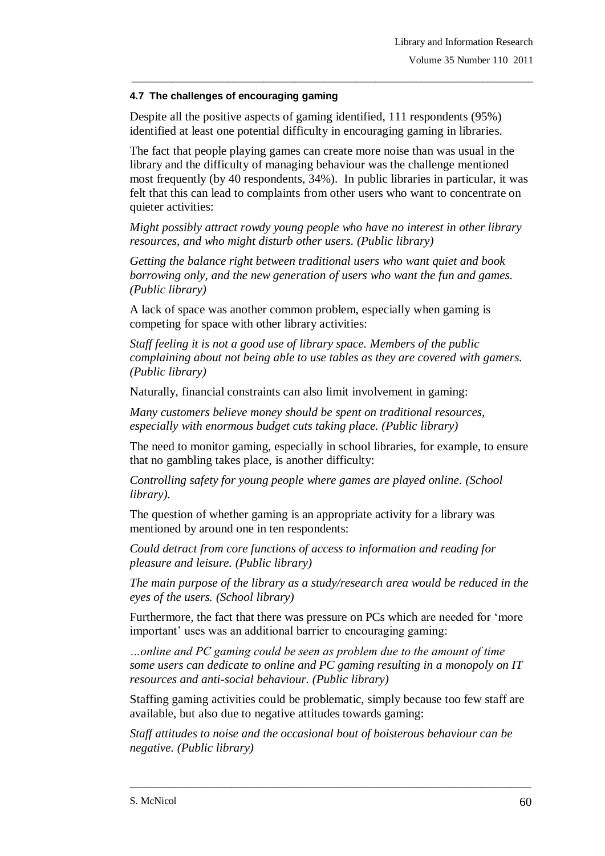#### **4.7 The challenges of encouraging gaming**

Despite all the positive aspects of gaming identified, 111 respondents (95%) identified at least one potential difficulty in encouraging gaming in libraries.

The fact that people playing games can create more noise than was usual in the library and the difficulty of managing behaviour was the challenge mentioned most frequently (by 40 respondents, 34%). In public libraries in particular, it was felt that this can lead to complaints from other users who want to concentrate on quieter activities:

\_\_\_\_\_\_\_\_\_\_\_\_\_\_\_\_\_\_\_\_\_\_\_\_\_\_\_\_\_\_\_\_\_\_\_\_\_\_\_\_\_\_\_\_\_\_\_\_\_\_\_\_\_\_\_\_\_\_\_\_\_\_\_\_\_\_\_\_\_\_\_\_\_\_\_\_\_\_\_

*Might possibly attract rowdy young people who have no interest in other library resources, and who might disturb other users. (Public library)*

*Getting the balance right between traditional users who want quiet and book borrowing only, and the new generation of users who want the fun and games. (Public library)*

A lack of space was another common problem, especially when gaming is competing for space with other library activities:

*Staff feeling it is not a good use of library space. Members of the public complaining about not being able to use tables as they are covered with gamers. (Public library)*

Naturally, financial constraints can also limit involvement in gaming:

*Many customers believe money should be spent on traditional resources, especially with enormous budget cuts taking place. (Public library)*

The need to monitor gaming, especially in school libraries, for example, to ensure that no gambling takes place, is another difficulty:

*Controlling safety for young people where games are played online. (School library).*

The question of whether gaming is an appropriate activity for a library was mentioned by around one in ten respondents:

*Could detract from core functions of access to information and reading for pleasure and leisure. (Public library)*

*The main purpose of the library as a study/research area would be reduced in the eyes of the users. (School library)*

Furthermore, the fact that there was pressure on PCs which are needed for 'more important' uses was an additional barrier to encouraging gaming:

*…online and PC gaming could be seen as problem due to the amount of time some users can dedicate to online and PC gaming resulting in a monopoly on IT resources and anti-social behaviour. (Public library)*

Staffing gaming activities could be problematic, simply because too few staff are available, but also due to negative attitudes towards gaming:

*Staff attitudes to noise and the occasional bout of boisterous behaviour can be negative. (Public library)*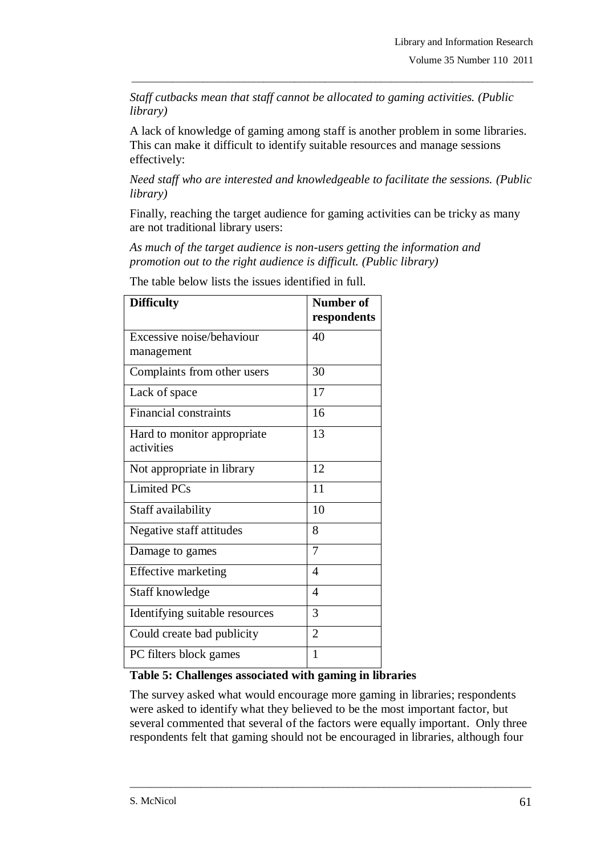*Staff cutbacks mean that staff cannot be allocated to gaming activities. (Public library)*

\_\_\_\_\_\_\_\_\_\_\_\_\_\_\_\_\_\_\_\_\_\_\_\_\_\_\_\_\_\_\_\_\_\_\_\_\_\_\_\_\_\_\_\_\_\_\_\_\_\_\_\_\_\_\_\_\_\_\_\_\_\_\_\_\_\_\_\_\_\_\_\_\_\_\_\_\_\_\_

A lack of knowledge of gaming among staff is another problem in some libraries. This can make it difficult to identify suitable resources and manage sessions effectively:

*Need staff who are interested and knowledgeable to facilitate the sessions. (Public library)*

Finally, reaching the target audience for gaming activities can be tricky as many are not traditional library users:

*As much of the target audience is non-users getting the information and promotion out to the right audience is difficult. (Public library)*

| <b>Difficulty</b>                           | <b>Number of</b><br>respondents |  |
|---------------------------------------------|---------------------------------|--|
| Excessive noise/behaviour                   | 40                              |  |
| management                                  |                                 |  |
| Complaints from other users                 | 30                              |  |
| Lack of space                               | 17                              |  |
| <b>Financial constraints</b>                | 16                              |  |
| Hard to monitor appropriate<br>activities   | 13                              |  |
| Not appropriate in library                  | 12                              |  |
| <b>Limited PCs</b>                          | 11                              |  |
| Staff availability                          | 10                              |  |
| Negative staff attitudes                    | 8                               |  |
| Damage to games                             | $\overline{7}$                  |  |
| <b>Effective marketing</b>                  | $\overline{4}$                  |  |
| Staff knowledge                             | $\overline{4}$                  |  |
| Identifying suitable resources              | 3                               |  |
| Could create bad publicity                  | $\overline{2}$                  |  |
| PC filters block games<br>$\cdots$ $\cdots$ | $\mathbf{1}$                    |  |

The table below lists the issues identified in full.

## **Table 5: Challenges associated with gaming in libraries**

The survey asked what would encourage more gaming in libraries; respondents were asked to identify what they believed to be the most important factor, but several commented that several of the factors were equally important. Only three respondents felt that gaming should not be encouraged in libraries, although four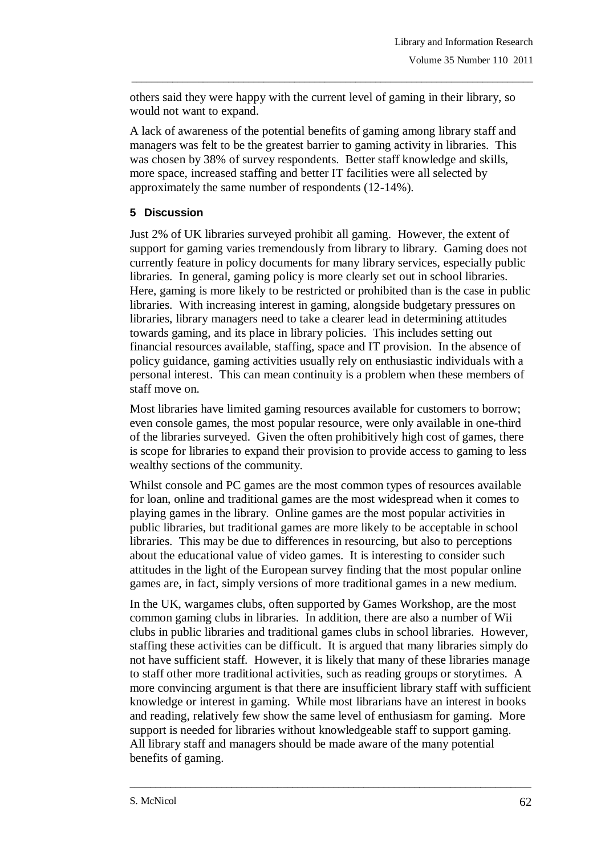others said they were happy with the current level of gaming in their library, so would not want to expand.

\_\_\_\_\_\_\_\_\_\_\_\_\_\_\_\_\_\_\_\_\_\_\_\_\_\_\_\_\_\_\_\_\_\_\_\_\_\_\_\_\_\_\_\_\_\_\_\_\_\_\_\_\_\_\_\_\_\_\_\_\_\_\_\_\_\_\_\_\_\_\_\_\_\_\_\_\_\_\_

A lack of awareness of the potential benefits of gaming among library staff and managers was felt to be the greatest barrier to gaming activity in libraries. This was chosen by 38% of survey respondents. Better staff knowledge and skills, more space, increased staffing and better IT facilities were all selected by approximately the same number of respondents (12-14%).

## **5 Discussion**

Just 2% of UK libraries surveyed prohibit all gaming. However, the extent of support for gaming varies tremendously from library to library. Gaming does not currently feature in policy documents for many library services, especially public libraries. In general, gaming policy is more clearly set out in school libraries. Here, gaming is more likely to be restricted or prohibited than is the case in public libraries. With increasing interest in gaming, alongside budgetary pressures on libraries, library managers need to take a clearer lead in determining attitudes towards gaming, and its place in library policies. This includes setting out financial resources available, staffing, space and IT provision. In the absence of policy guidance, gaming activities usually rely on enthusiastic individuals with a personal interest. This can mean continuity is a problem when these members of staff move on.

Most libraries have limited gaming resources available for customers to borrow; even console games, the most popular resource, were only available in one-third of the libraries surveyed. Given the often prohibitively high cost of games, there is scope for libraries to expand their provision to provide access to gaming to less wealthy sections of the community.

Whilst console and PC games are the most common types of resources available for loan, online and traditional games are the most widespread when it comes to playing games in the library. Online games are the most popular activities in public libraries, but traditional games are more likely to be acceptable in school libraries. This may be due to differences in resourcing, but also to perceptions about the educational value of video games. It is interesting to consider such attitudes in the light of the European survey finding that the most popular online games are, in fact, simply versions of more traditional games in a new medium.

In the UK, wargames clubs, often supported by Games Workshop, are the most common gaming clubs in libraries. In addition, there are also a number of Wii clubs in public libraries and traditional games clubs in school libraries. However, staffing these activities can be difficult. It is argued that many libraries simply do not have sufficient staff. However, it is likely that many of these libraries manage to staff other more traditional activities, such as reading groups or storytimes. A more convincing argument is that there are insufficient library staff with sufficient knowledge or interest in gaming. While most librarians have an interest in books and reading, relatively few show the same level of enthusiasm for gaming. More support is needed for libraries without knowledgeable staff to support gaming. All library staff and managers should be made aware of the many potential benefits of gaming.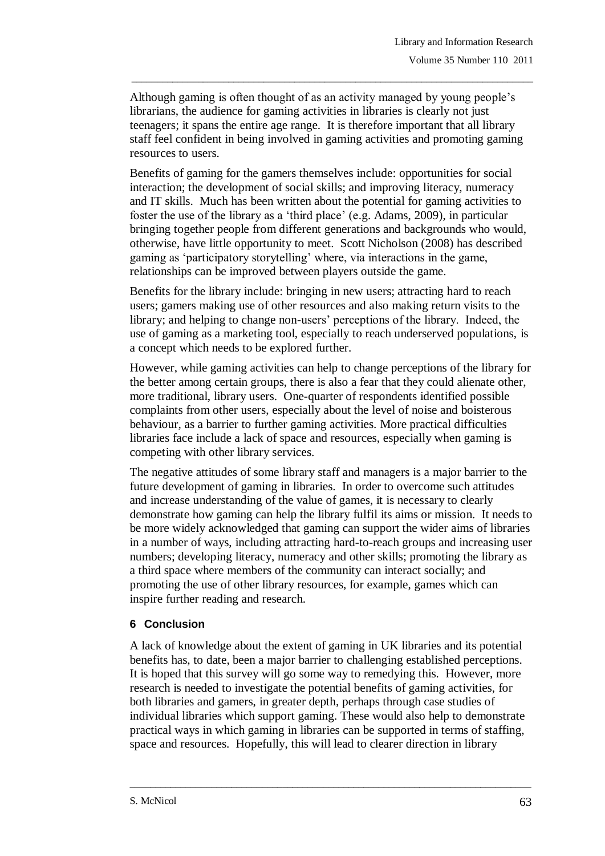Although gaming is often thought of as an activity managed by young people's librarians, the audience for gaming activities in libraries is clearly not just teenagers; it spans the entire age range. It is therefore important that all library staff feel confident in being involved in gaming activities and promoting gaming resources to users.

\_\_\_\_\_\_\_\_\_\_\_\_\_\_\_\_\_\_\_\_\_\_\_\_\_\_\_\_\_\_\_\_\_\_\_\_\_\_\_\_\_\_\_\_\_\_\_\_\_\_\_\_\_\_\_\_\_\_\_\_\_\_\_\_\_\_\_\_\_\_\_\_\_\_\_\_\_\_\_

Benefits of gaming for the gamers themselves include: opportunities for social interaction; the development of social skills; and improving literacy, numeracy and IT skills. Much has been written about the potential for gaming activities to foster the use of the library as a 'third place' (e.g. Adams, 2009), in particular bringing together people from different generations and backgrounds who would, otherwise, have little opportunity to meet. Scott Nicholson (2008) has described gaming as 'participatory storytelling' where, via interactions in the game, relationships can be improved between players outside the game.

Benefits for the library include: bringing in new users; attracting hard to reach users; gamers making use of other resources and also making return visits to the library; and helping to change non-users' perceptions of the library. Indeed, the use of gaming as a marketing tool, especially to reach underserved populations, is a concept which needs to be explored further.

However, while gaming activities can help to change perceptions of the library for the better among certain groups, there is also a fear that they could alienate other, more traditional, library users. One-quarter of respondents identified possible complaints from other users, especially about the level of noise and boisterous behaviour, as a barrier to further gaming activities. More practical difficulties libraries face include a lack of space and resources, especially when gaming is competing with other library services.

The negative attitudes of some library staff and managers is a major barrier to the future development of gaming in libraries. In order to overcome such attitudes and increase understanding of the value of games, it is necessary to clearly demonstrate how gaming can help the library fulfil its aims or mission. It needs to be more widely acknowledged that gaming can support the wider aims of libraries in a number of ways, including attracting hard-to-reach groups and increasing user numbers; developing literacy, numeracy and other skills; promoting the library as a third space where members of the community can interact socially; and promoting the use of other library resources, for example, games which can inspire further reading and research.

## **6 Conclusion**

A lack of knowledge about the extent of gaming in UK libraries and its potential benefits has, to date, been a major barrier to challenging established perceptions. It is hoped that this survey will go some way to remedying this. However, more research is needed to investigate the potential benefits of gaming activities, for both libraries and gamers, in greater depth, perhaps through case studies of individual libraries which support gaming. These would also help to demonstrate practical ways in which gaming in libraries can be supported in terms of staffing, space and resources. Hopefully, this will lead to clearer direction in library